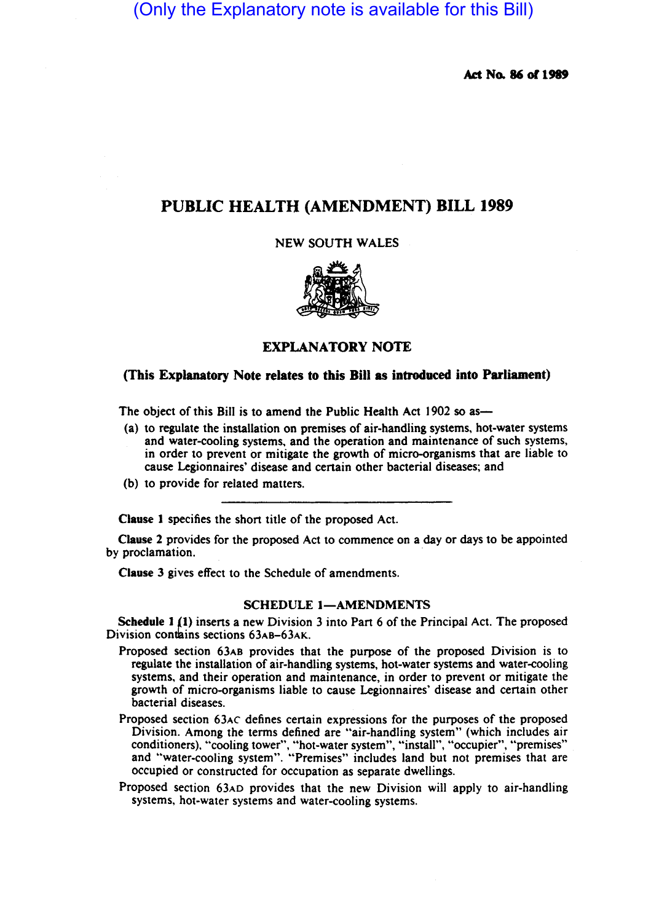(Only the Explanatory note is available for this Bill)

Act No. 86 of 1989

## PUBLIC HEALTH (AMENDMENT) BILL 1989

NEW SOUTH WALES



## EXPLANATORY NOTE

## (This Explanatory Note relates to this Bill as introduced into Parliament)

The object of this Bill is to amend the Public Health Act 1902 so as-

- (a) to regulate the installation on premises of air-handling systems, hot-water systems and water-cooling systems, and the operation and maintenance of such systems, in order to prevent or mitigate the growth of micro-organisms that are liable to cause Legionnaires' disease and certain other bacterial diseases; and
- (b) to provide for related matters.

Clause I specifies the short title of the proposed Act.

Clause 2 provides for the proposed Act to commence on a day or days to be appointed by proclamation.

Clause 3 gives effect to the Schedule of amendments.

## SCHEDULE 1-AMENDMENTS

Schedule I (I) inserts a new Division 3 into Part 6 of the Principal Act. The proposed Division contains sections 63AB-63AK.

- Proposed section 63AB provides that the purpose of the proposed Division is to regulate the installation of air-handling systems, hot-water systems and water-cooling systems, and their operation and maintenance, in order to prevent or mitigate the growth of micro-organisms liable to cause Legionnaires' disease and certain other bacterial diseases.
- Proposed section 63AC defines certain expressions for the purposes of the proposed Division. Among the terms defined are "air-handling system" (which includes air conditioners), "cooling tower", "hot-water system", "install", "occupier", "premises" and "water-cooling system". "Premises" includes land but not premises that are occupied or constructed for occupation as separate dwellings.
- Proposed section 63AD provides that the new Division will apply to air-handling systems, hot-water systems and water-cooling systems.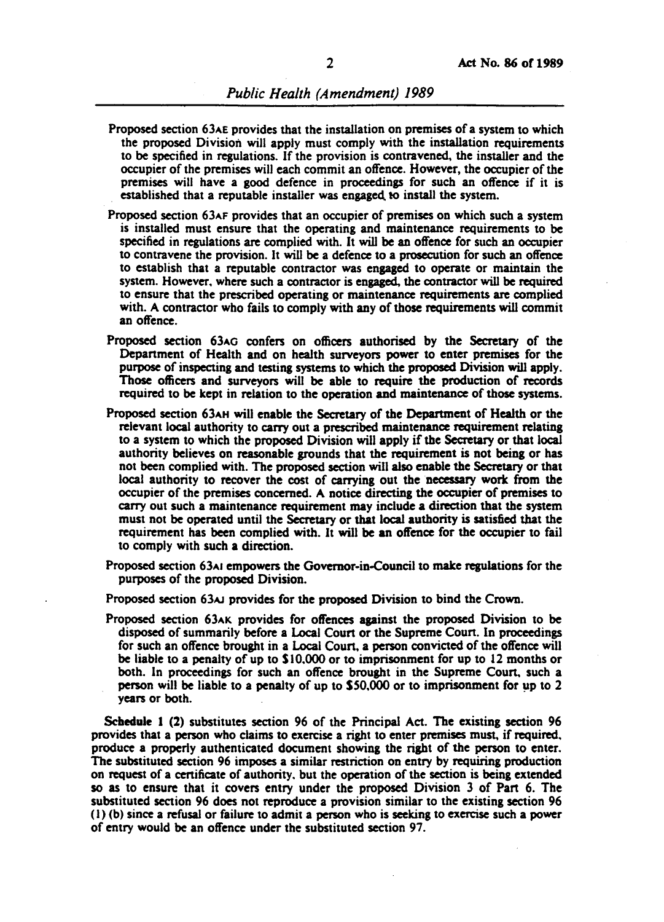- Proposed section 63AE provides that the installation on premises of a system to which the proposed Division will apply must comply with the installation requirements to be specified in regulations. If the provision is contravened, the installer and the occupier of the premises will each commit an offence. However, the occupier of the premises will have a good defence in proceedings for such an offence if it is established that a reputable installer was engaged. to install the system.
- Proposed section 63AF provides that an occupier of premises on which such a system is installed must ensure that the operating and maintenance requirements to be specified in regulations are complied with. It will be an offence for such an occupier to contravene the provision. It wiU be a defence to a prosecution for such an offence to establish that a reputable contractor was engaged to operate or maintain the system. However. where such a contractor is engaged, the contractor will be required to ensure that the prescribed operating or maintenance requirements are complied with. A contractor who fails to comply with any of those requirements will commit an offence.
- Proposed section 63AG confers on officers authorised by the Secretary of the Depanment of Health and on health surveyors power to enter premises for the purpose of inspecting and testing systems to which the proposed Division will apply. Those officers and surveyors will be able to require the production of records required to be kept in relation to the operation and maintenance of those systems.
- Proposed section 63AH will enable the Secretary of the Department of Health or the relevant local authority to carry out a prescribed maintenance requirement relating to a system to which the proposed Division will apply if the Secretary or that local authority believes on reasonable grounds that the requirement is not being or has not been complied with. The proposed section will also enable the Secretary or that local authority to recover the cost of carrying out the necessary work from the occupier of the premises concerned. A notice directing the occupier of premises to carry out such a maintenance requirement may include a direction that the system must not be operated until the Secretary or that local authority is satisfied that the requirement has been complied with. It will be an offence for the occupier to fail to comply with such a direction.
- Proposed section 63AI empowers the Governor-in-Council to make regulations for the purposes of the proposed Division.
- Proposed section 63 $\mu$  provides for the proposed Division to bind the Crown.
- Proposed section 63AK provides for offences against the proposed Division to be disposed of summarily before a Local Coun or the Supreme Coun. In proceedings for such an offence brought in a Local Coun, a person convicted of the offence will be liable to a penalty of up to \$10,000 or to imprisonment for up to 12 months or both. In proceedings for such an offence brought in the Supreme Court. such a person will be liable to a penalty of up to  $$50,000$  or to imprisonment for up to 2 years or both.

Scbedule I (2) substitutes section 96 of the Principal Act. The existing section 96 provides that a person who claims to exercise a right to enter premises must, if required. produce a properly authenticated document showing the right of the person to enter. The substituted section 96 imposes a similar restriction on entry by requiring production on request of a certificate of authority. but the operation of the section is being extended so as to ensure that it covers entry under the proposed Division 3 of Pan 6. The substituted section 96 does not reproduce a provision similar to the existing section 96 (1) (b) since a refusal or failure to admit a person who is seeking to exercise such a power of entry would be an offence under the substituted section 97.